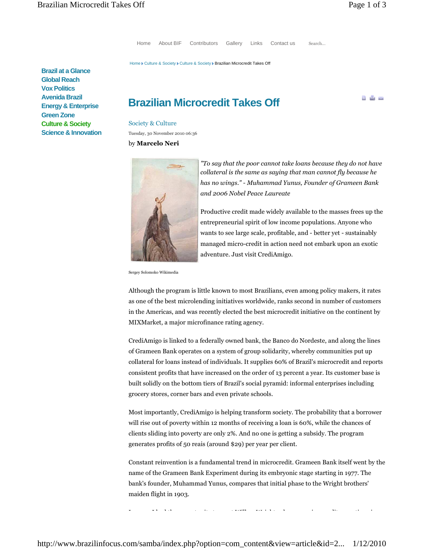$\blacksquare$   $\blacksquare$   $\blacktriangleright$ 

Home About BIF Contributors Gallery Links Contact us Search.

Home I Culture & Society I Culture & Society I Brazilian Microcredit Takes Off

**Brazil at a Glance Global Reach Vox Politics Avenida Brazil Energy & Enterprise Green Zone Culture & Society Science & Innovation** 

# **Brazilian Microcredit Takes Off**

### Society & Culture

Tuesday, 30 November 2010 06:36

## by Marcelo Neri



"To say that the poor cannot take loans because they do not have collateral is the same as saying that man cannot fly because he has no wings." - Muhammad Yunus, Founder of Grameen Bank and 2006 Nobel Peace Laureate

Productive credit made widely available to the masses frees up the entrepreneurial spirit of low income populations. Anyone who wants to see large scale, profitable, and - better yet - sustainably managed micro-credit in action need not embark upon an exotic adventure. Just visit CrediAmigo.

Sergey Solomoko Wikimedia

Although the program is little known to most Brazilians, even among policy makers, it rates as one of the best microlending initiatives worldwide, ranks second in number of customers in the Americas, and was recently elected the best microcredit initiative on the continent by MIXMarket, a major microfinance rating agency.

CrediAmigo is linked to a federally owned bank, the Banco do Nordeste, and along the lines of Grameen Bank operates on a system of group solidarity, whereby communities put up collateral for loans instead of individuals. It supplies 60% of Brazil's microcredit and reports consistent profits that have increased on the order of 13 percent a year. Its customer base is built solidly on the bottom tiers of Brazil's social pyramid: informal enterprises including grocery stores, corner bars and even private schools.

Most importantly, CrediAmigo is helping transform society. The probability that a borrower will rise out of poverty within 12 months of receiving a loan is 60%, while the chances of clients sliding into poverty are only 2%. And no one is getting a subsidy. The program generates profits of 50 reais (around \$29) per year per client.

Constant reinvention is a fundamental trend in microcredit. Grameen Bank itself went by the name of the Grameen Bank Experiment during its embryonic stage starting in 1977. The bank's founder, Muhammad Yunus, compares that initial phase to the Wright brothers' maiden flight in 1903.

In 2007 I had the opportunity to meet Wilbur Wright, who runs microcredit operations in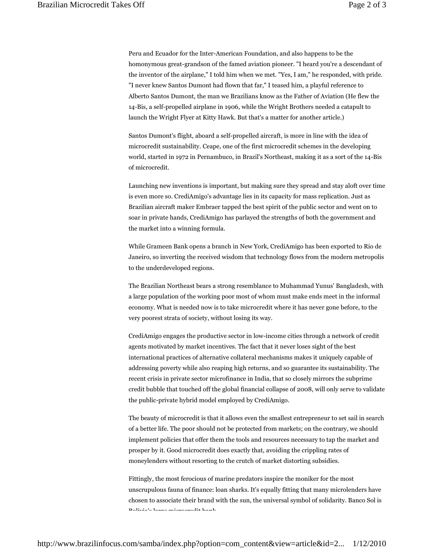Peru and Ecuador for the Inter-American Foundation, and also happens to be the homonymous great-grandson of the famed aviation pioneer. "I heard you're a descendant of the inventor of the airplane," I told him when we met. "Yes, I am," he responded, with pride. "I never knew Santos Dumont had flown that far," I teased him, a playful reference to Alberto Santos Dumont, the man we Brazilians know as the Father of Aviation (He flew the 14-Bis, a self-propelled airplane in 1906, while the Wright Brothers needed a catapult to launch the Wright Flyer at Kitty Hawk. But that's a matter for another article.)

Santos Dumont's flight, aboard a self-propelled aircraft, is more in line with the idea of microcredit sustainability. Ceape, one of the first microcredit schemes in the developing world, started in 1972 in Pernambuco, in Brazil's Northeast, making it as a sort of the 14-Bis of microcredit.

Launching new inventions is important, but making sure they spread and stay aloft over time is even more so. CrediAmigo's advantage lies in its capacity for mass replication. Just as Brazilian aircraft maker Embraer tapped the best spirit of the public sector and went on to soar in private hands, CrediAmigo has parlayed the strengths of both the government and the market into a winning formula.

While Grameen Bank opens a branch in New York, CrediAmigo has been exported to Rio de Janeiro, so inverting the received wisdom that technology flows from the modern metropolis to the underdeveloped regions.

The Brazilian Northeast bears a strong resemblance to Muhammad Yunus' Bangladesh, with a large population of the working poor most of whom must make ends meet in the informal economy. What is needed now is to take microcredit where it has never gone before, to the very poorest strata of society, without losing its way.

CrediAmigo engages the productive sector in low-income cities through a network of credit agents motivated by market incentives. The fact that it never loses sight of the best international practices of alternative collateral mechanisms makes it uniquely capable of addressing poverty while also reaping high returns, and so guarantee its sustainability. The recent crisis in private sector microfinance in India, that so closely mirrors the subprime credit bubble that touched off the global financial collapse of 2008, will only serve to validate the public-private hybrid model employed by CrediAmigo.

The beauty of microcredit is that it allows even the smallest entrepreneur to set sail in search of a better life. The poor should not be protected from markets; on the contrary, we should implement policies that offer them the tools and resources necessary to tap the market and prosper by it. Good microcredit does exactly that, avoiding the crippling rates of moneylenders without resorting to the crutch of market distorting subsidies.

Fittingly, the most ferocious of marine predators inspire the moniker for the most unscrupulous fauna of finance: loan sharks. It's equally fitting that many microlenders have chosen to associate their brand with the sun, the universal symbol of solidarity. Banco Sol is Bolivia's large microcredit bank.